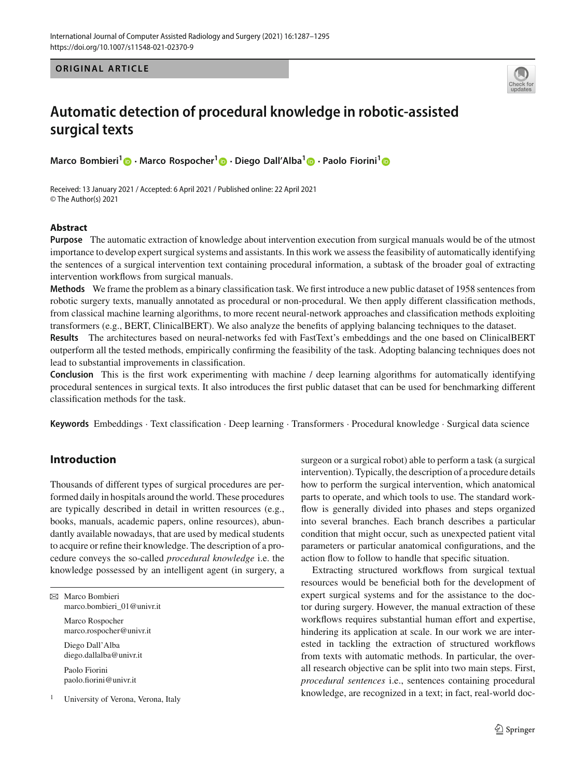**ORIGINAL ARTICLE** 



# **Automatic detection of procedural knowledge in robotic-assisted surgical texts**

**Marco Bombieri[1](http://orcid.org/0000-0002-8607-8495) · Marco Rospocher[1](http://orcid.org/0000-0001-9391-3201) · Diego Dall'Alba[1](http://orcid.org/0000-0002-7300-5975) · Paolo Fiorini[1](http://orcid.org/0000-0002-0711-8605)**

Received: 13 January 2021 / Accepted: 6 April 2021 / Published online: 22 April 2021 © The Author(s) 2021

#### **Abstract**

**Purpose** The automatic extraction of knowledge about intervention execution from surgical manuals would be of the utmost importance to develop expert surgical systems and assistants. In this work we assess the feasibility of automatically identifying the sentences of a surgical intervention text containing procedural information, a subtask of the broader goal of extracting intervention workflows from surgical manuals.

**Methods** We frame the problem as a binary classification task. We first introduce a new public dataset of 1958 sentences from robotic surgery texts, manually annotated as procedural or non-procedural. We then apply different classification methods, from classical machine learning algorithms, to more recent neural-network approaches and classification methods exploiting transformers (e.g., BERT, ClinicalBERT). We also analyze the benefits of applying balancing techniques to the dataset.

**Results** The architectures based on neural-networks fed with FastText's embeddings and the one based on ClinicalBERT outperform all the tested methods, empirically confirming the feasibility of the task. Adopting balancing techniques does not lead to substantial improvements in classification.

**Conclusion** This is the first work experimenting with machine / deep learning algorithms for automatically identifying procedural sentences in surgical texts. It also introduces the first public dataset that can be used for benchmarking different classification methods for the task.

**Keywords** Embeddings · Text classification · Deep learning · Transformers · Procedural knowledge · Surgical data science

## **Introduction**

Thousands of different types of surgical procedures are performed daily in hospitals around the world. These procedures are typically described in detail in written resources (e.g., books, manuals, academic papers, online resources), abundantly available nowadays, that are used by medical students to acquire or refine their knowledge. The description of a procedure conveys the so-called *procedural knowledge* i.e. the knowledge possessed by an intelligent agent (in surgery, a

| $\boxtimes$ Marco Bombieri<br>marco.bombieri 01@univr.it |
|----------------------------------------------------------|
| Marco Rospocher<br>marco.rospocher@univr.it              |
| Diego Dall'Alba<br>diego.dallalba@univr.it               |
| Paolo Fiorini<br>paolo.fiorini@univr.it                  |
| University of Verona, Verona, Italy                      |

surgeon or a surgical robot) able to perform a task (a surgical intervention). Typically, the description of a procedure details how to perform the surgical intervention, which anatomical parts to operate, and which tools to use. The standard workflow is generally divided into phases and steps organized into several branches. Each branch describes a particular condition that might occur, such as unexpected patient vital parameters or particular anatomical configurations, and the action flow to follow to handle that specific situation.

Extracting structured workflows from surgical textual resources would be beneficial both for the development of expert surgical systems and for the assistance to the doctor during surgery. However, the manual extraction of these workflows requires substantial human effort and expertise, hindering its application at scale. In our work we are interested in tackling the extraction of structured workflows from texts with automatic methods. In particular, the overall research objective can be split into two main steps. First, *procedural sentences* i.e., sentences containing procedural knowledge, are recognized in a text; in fact, real-world doc-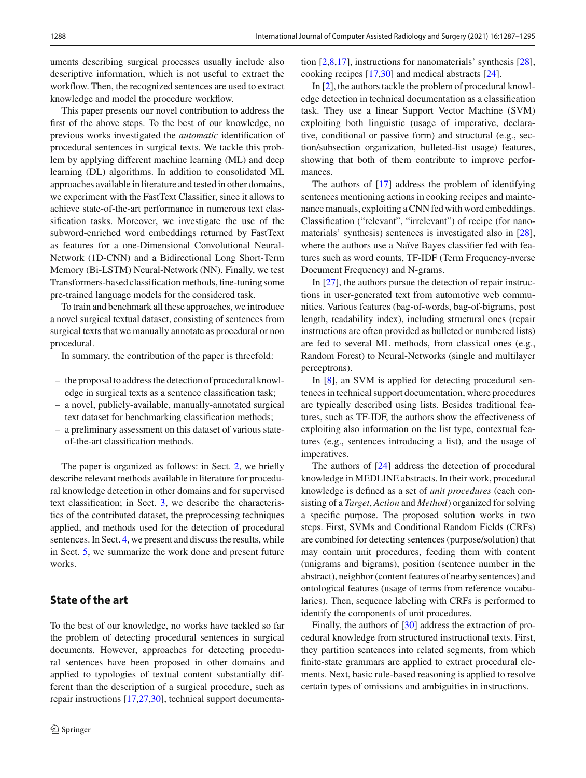uments describing surgical processes usually include also descriptive information, which is not useful to extract the workflow. Then, the recognized sentences are used to extract knowledge and model the procedure workflow.

This paper presents our novel contribution to address the first of the above steps. To the best of our knowledge, no previous works investigated the *automatic* identification of procedural sentences in surgical texts. We tackle this problem by applying different machine learning (ML) and deep learning (DL) algorithms. In addition to consolidated ML approaches available in literature and tested in other domains, we experiment with the FastText Classifier, since it allows to achieve state-of-the-art performance in numerous text classification tasks. Moreover, we investigate the use of the subword-enriched word embeddings returned by FastText as features for a one-Dimensional Convolutional Neural-Network (1D-CNN) and a Bidirectional Long Short-Term Memory (Bi-LSTM) Neural-Network (NN). Finally, we test Transformers-based classification methods, fine-tuning some pre-trained language models for the considered task.

To train and benchmark all these approaches, we introduce a novel surgical textual dataset, consisting of sentences from surgical texts that we manually annotate as procedural or non procedural.

In summary, the contribution of the paper is threefold:

- the proposal to address the detection of procedural knowledge in surgical texts as a sentence classification task;
- a novel, publicly-available, manually-annotated surgical text dataset for benchmarking classification methods;
- a preliminary assessment on this dataset of various stateof-the-art classification methods.

The paper is organized as follows: in Sect. [2,](#page-1-0) we briefly describe relevant methods available in literature for procedural knowledge detection in other domains and for supervised text classification; in Sect. [3,](#page-2-0) we describe the characteristics of the contributed dataset, the preprocessing techniques applied, and methods used for the detection of procedural sentences. In Sect. [4,](#page-4-0) we present and discuss the results, while in Sect. [5,](#page-6-0) we summarize the work done and present future works.

## <span id="page-1-0"></span>**State of the art**

To the best of our knowledge, no works have tackled so far the problem of detecting procedural sentences in surgical documents. However, approaches for detecting procedural sentences have been proposed in other domains and applied to typologies of textual content substantially different than the description of a surgical procedure, such as repair instructions [\[17](#page-7-0)[,27](#page-8-0)[,30\]](#page-8-1), technical support documenta-

tion [\[2](#page-7-1)[,8](#page-7-2)[,17](#page-7-0)], instructions for nanomaterials' synthesis [\[28](#page-8-2)], cooking recipes [\[17](#page-7-0)[,30](#page-8-1)] and medical abstracts [\[24\]](#page-8-3).

In [\[2\]](#page-7-1), the authors tackle the problem of procedural knowledge detection in technical documentation as a classification task. They use a linear Support Vector Machine (SVM) exploiting both linguistic (usage of imperative, declarative, conditional or passive form) and structural (e.g., section/subsection organization, bulleted-list usage) features, showing that both of them contribute to improve performances.

The authors of [\[17](#page-7-0)] address the problem of identifying sentences mentioning actions in cooking recipes and maintenance manuals, exploiting a CNN fed with word embeddings. Classification ("relevant", "irrelevant") of recipe (for nanomaterials' synthesis) sentences is investigated also in [\[28](#page-8-2)], where the authors use a Naïve Bayes classifier fed with features such as word counts, TF-IDF (Term Frequency-nverse Document Frequency) and N-grams.

In [\[27](#page-8-0)], the authors pursue the detection of repair instructions in user-generated text from automotive web communities. Various features (bag-of-words, bag-of-bigrams, post length, readability index), including structural ones (repair instructions are often provided as bulleted or numbered lists) are fed to several ML methods, from classical ones (e.g., Random Forest) to Neural-Networks (single and multilayer perceptrons).

In [\[8](#page-7-2)], an SVM is applied for detecting procedural sentences in technical support documentation, where procedures are typically described using lists. Besides traditional features, such as TF-IDF, the authors show the effectiveness of exploiting also information on the list type, contextual features (e.g., sentences introducing a list), and the usage of imperatives.

The authors of [\[24](#page-8-3)] address the detection of procedural knowledge in MEDLINE abstracts. In their work, procedural knowledge is defined as a set of *unit procedures* (each consisting of a *Target*, *Action* and *Method*) organized for solving a specific purpose. The proposed solution works in two steps. First, SVMs and Conditional Random Fields (CRFs) are combined for detecting sentences (purpose/solution) that may contain unit procedures, feeding them with content (unigrams and bigrams), position (sentence number in the abstract), neighbor (content features of nearby sentences) and ontological features (usage of terms from reference vocabularies). Then, sequence labeling with CRFs is performed to identify the components of unit procedures.

Finally, the authors of [\[30](#page-8-1)] address the extraction of procedural knowledge from structured instructional texts. First, they partition sentences into related segments, from which finite-state grammars are applied to extract procedural elements. Next, basic rule-based reasoning is applied to resolve certain types of omissions and ambiguities in instructions.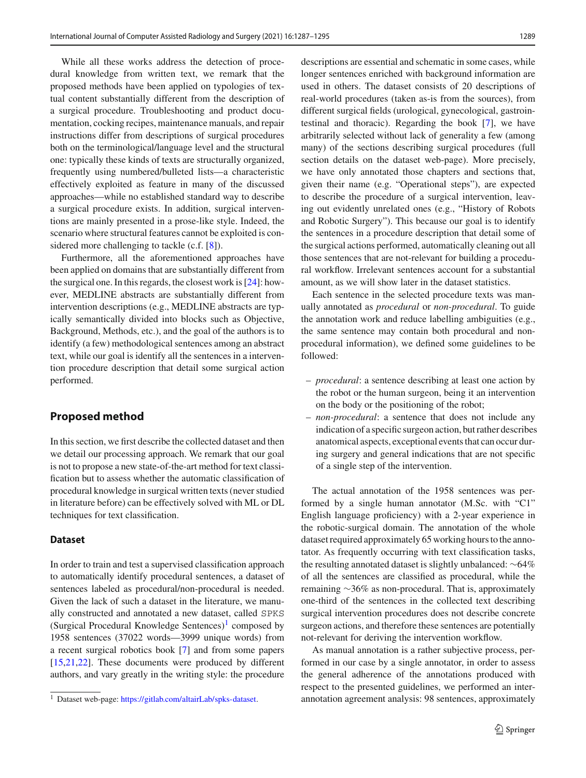While all these works address the detection of procedural knowledge from written text, we remark that the proposed methods have been applied on typologies of textual content substantially different from the description of a surgical procedure. Troubleshooting and product documentation, cocking recipes, maintenance manuals, and repair instructions differ from descriptions of surgical procedures both on the terminological/language level and the structural one: typically these kinds of texts are structurally organized, frequently using numbered/bulleted lists—a characteristic effectively exploited as feature in many of the discussed approaches—while no established standard way to describe a surgical procedure exists. In addition, surgical interventions are mainly presented in a prose-like style. Indeed, the scenario where structural features cannot be exploited is considered more challenging to tackle (c.f. [\[8\]](#page-7-2)).

Furthermore, all the aforementioned approaches have been applied on domains that are substantially different from the surgical one. In this regards, the closest work is [\[24](#page-8-3)]: however, MEDLINE abstracts are substantially different from intervention descriptions (e.g., MEDLINE abstracts are typically semantically divided into blocks such as Objective, Background, Methods, etc.), and the goal of the authors is to identify (a few) methodological sentences among an abstract text, while our goal is identify all the sentences in a intervention procedure description that detail some surgical action performed.

## <span id="page-2-0"></span>**Proposed method**

In this section, we first describe the collected dataset and then we detail our processing approach. We remark that our goal is not to propose a new state-of-the-art method for text classification but to assess whether the automatic classification of procedural knowledge in surgical written texts (never studied in literature before) can be effectively solved with ML or DL techniques for text classification.

#### **Dataset**

In order to train and test a supervised classification approach to automatically identify procedural sentences, a dataset of sentences labeled as procedural/non-procedural is needed. Given the lack of such a dataset in the literature, we manually constructed and annotated a new dataset, called SPKS (Surgical Procedural Knowledge Sentences) $<sup>1</sup>$  $<sup>1</sup>$  $<sup>1</sup>$  composed by</sup> 1958 sentences (37022 words—3999 unique words) from a recent surgical robotics book [\[7](#page-7-3)] and from some papers [\[15](#page-7-4)[,21](#page-7-5)[,22](#page-7-6)]. These documents were produced by different authors, and vary greatly in the writing style: the procedure descriptions are essential and schematic in some cases, while longer sentences enriched with background information are used in others. The dataset consists of 20 descriptions of real-world procedures (taken as-is from the sources), from different surgical fields (urological, gynecological, gastrointestinal and thoracic). Regarding the book [\[7\]](#page-7-3), we have arbitrarily selected without lack of generality a few (among many) of the sections describing surgical procedures (full section details on the dataset web-page). More precisely, we have only annotated those chapters and sections that, given their name (e.g. "Operational steps"), are expected to describe the procedure of a surgical intervention, leaving out evidently unrelated ones (e.g., "History of Robots and Robotic Surgery"). This because our goal is to identify the sentences in a procedure description that detail some of the surgical actions performed, automatically cleaning out all those sentences that are not-relevant for building a procedural workflow. Irrelevant sentences account for a substantial amount, as we will show later in the dataset statistics.

Each sentence in the selected procedure texts was manually annotated as *procedural* or *non-procedural*. To guide the annotation work and reduce labelling ambiguities (e.g., the same sentence may contain both procedural and nonprocedural information), we defined some guidelines to be followed:

- *procedural*: a sentence describing at least one action by the robot or the human surgeon, being it an intervention on the body or the positioning of the robot;
- *non-procedural*: a sentence that does not include any indication of a specific surgeon action, but rather describes anatomical aspects, exceptional events that can occur during surgery and general indications that are not specific of a single step of the intervention.

The actual annotation of the 1958 sentences was performed by a single human annotator (M.Sc. with "C1" English language proficiency) with a 2-year experience in the robotic-surgical domain. The annotation of the whole dataset required approximately 65 working hours to the annotator. As frequently occurring with text classification tasks, the resulting annotated dataset is slightly unbalanced: ∼64% of all the sentences are classified as procedural, while the remaining ∼36% as non-procedural. That is, approximately one-third of the sentences in the collected text describing surgical intervention procedures does not describe concrete surgeon actions, and therefore these sentences are potentially not-relevant for deriving the intervention workflow.

As manual annotation is a rather subjective process, performed in our case by a single annotator, in order to assess the general adherence of the annotations produced with respect to the presented guidelines, we performed an interannotation agreement analysis: 98 sentences, approximately

<span id="page-2-1"></span><sup>1</sup> Dataset web-page: [https://gitlab.com/altairLab/spks-dataset.](https://gitlab.com/altairLab/spks-dataset)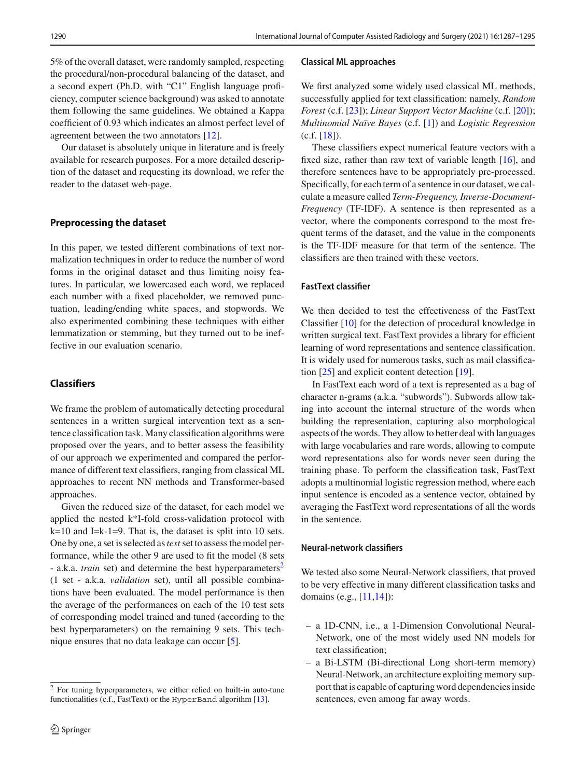5% of the overall dataset, were randomly sampled, respecting the procedural/non-procedural balancing of the dataset, and a second expert (Ph.D. with "C1" English language proficiency, computer science background) was asked to annotate them following the same guidelines. We obtained a Kappa coefficient of 0*.*93 which indicates an almost perfect level of agreement between the two annotators [\[12\]](#page-7-7).

Our dataset is absolutely unique in literature and is freely available for research purposes. For a more detailed description of the dataset and requesting its download, we refer the reader to the dataset web-page.

#### **Preprocessing the dataset**

In this paper, we tested different combinations of text normalization techniques in order to reduce the number of word forms in the original dataset and thus limiting noisy features. In particular, we lowercased each word, we replaced each number with a fixed placeholder, we removed punctuation, leading/ending white spaces, and stopwords. We also experimented combining these techniques with either lemmatization or stemming, but they turned out to be ineffective in our evaluation scenario.

### **Classifiers**

We frame the problem of automatically detecting procedural sentences in a written surgical intervention text as a sentence classification task. Many classification algorithms were proposed over the years, and to better assess the feasibility of our approach we experimented and compared the performance of different text classifiers, ranging from classical ML approaches to recent NN methods and Transformer-based approaches.

Given the reduced size of the dataset, for each model we applied the nested k\*I-fold cross-validation protocol with k=10 and I=k-1=9. That is, the dataset is split into 10 sets. One by one, a set is selected as*test* set to assess the model performance, while the other 9 are used to fit the model (8 sets - a.k.a. *train* set) and determine the best hyperparameters<sup>[2](#page-3-0)</sup> (1 set - a.k.a. *validation* set), until all possible combinations have been evaluated. The model performance is then the average of the performances on each of the 10 test sets of corresponding model trained and tuned (according to the best hyperparameters) on the remaining 9 sets. This technique ensures that no data leakage can occur [\[5](#page-7-8)].

#### **Classical ML approaches**

We first analyzed some widely used classical ML methods, successfully applied for text classification: namely, *Random Forest* (c.f. [\[23\]](#page-7-10)); *Linear Support Vector Machine* (c.f. [\[20\]](#page-7-11)); *Multinomial Naïve Bayes* (c.f. [\[1\]](#page-7-12)) and *Logistic Regression*  $(c.f. [18])$  $(c.f. [18])$  $(c.f. [18])$ .

These classifiers expect numerical feature vectors with a fixed size, rather than raw text of variable length [\[16\]](#page-7-14), and therefore sentences have to be appropriately pre-processed. Specifically, for each term of a sentence in our dataset, we calculate a measure called *Term-Frequency, Inverse-Document-Frequency* (TF-IDF). A sentence is then represented as a vector, where the components correspond to the most frequent terms of the dataset, and the value in the components is the TF-IDF measure for that term of the sentence. The classifiers are then trained with these vectors.

#### **FastText classifier**

We then decided to test the effectiveness of the FastText Classifier [\[10\]](#page-7-15) for the detection of procedural knowledge in written surgical text. FastText provides a library for efficient learning of word representations and sentence classification. It is widely used for numerous tasks, such as mail classification [\[25](#page-8-4)] and explicit content detection [\[19](#page-7-16)].

In FastText each word of a text is represented as a bag of character n-grams (a.k.a. "subwords"). Subwords allow taking into account the internal structure of the words when building the representation, capturing also morphological aspects of the words. They allow to better deal with languages with large vocabularies and rare words, allowing to compute word representations also for words never seen during the training phase. To perform the classification task, FastText adopts a multinomial logistic regression method, where each input sentence is encoded as a sentence vector, obtained by averaging the FastText word representations of all the words in the sentence.

#### **Neural-network classifiers**

We tested also some Neural-Network classifiers, that proved to be very effective in many different classification tasks and domains (e.g., [\[11](#page-7-17)[,14\]](#page-7-18)):

- a 1D-CNN, i.e., a 1-Dimension Convolutional Neural-Network, one of the most widely used NN models for text classification;
- a Bi-LSTM (Bi-directional Long short-term memory) Neural-Network, an architecture exploiting memory support that is capable of capturing word dependencies inside sentences, even among far away words.

<span id="page-3-0"></span><sup>2</sup> For tuning hyperparameters, we either relied on built-in auto-tune functionalities (c.f., FastText) or the HyperBand algorithm [\[13](#page-7-9)].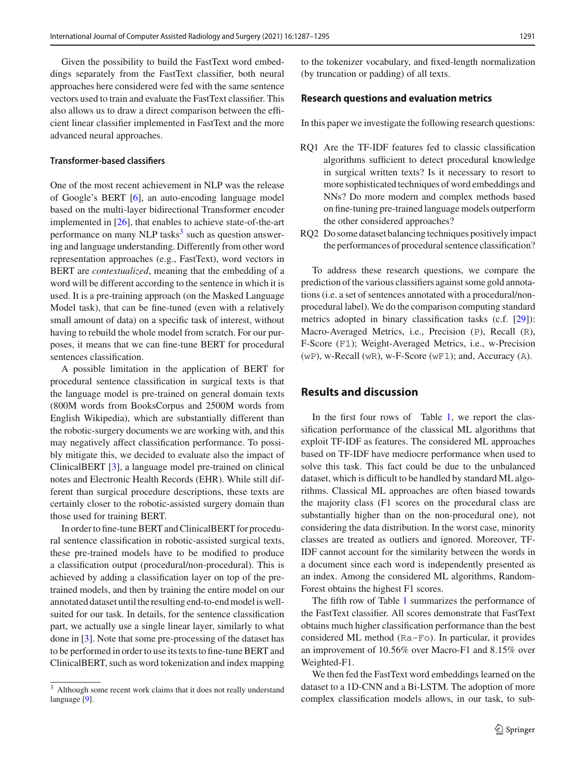Given the possibility to build the FastText word embeddings separately from the FastText classifier, both neural approaches here considered were fed with the same sentence vectors used to train and evaluate the FastText classifier. This also allows us to draw a direct comparison between the efficient linear classifier implemented in FastText and the more advanced neural approaches.

#### <span id="page-4-2"></span>**Transformer-based classifiers**

One of the most recent achievement in NLP was the release of Google's BERT [\[6](#page-7-19)], an auto-encoding language model based on the multi-layer bidirectional Transformer encoder implemented in [\[26](#page-8-5)], that enables to achieve state-of-the-art performance on many NLP tasks $3$  such as question answering and language understanding. Differently from other word representation approaches (e.g., FastText), word vectors in BERT are *contextualized*, meaning that the embedding of a word will be different according to the sentence in which it is used. It is a pre-training approach (on the Masked Language Model task), that can be fine-tuned (even with a relatively small amount of data) on a specific task of interest, without having to rebuild the whole model from scratch. For our purposes, it means that we can fine-tune BERT for procedural sentences classification.

A possible limitation in the application of BERT for procedural sentence classification in surgical texts is that the language model is pre-trained on general domain texts (800M words from BooksCorpus and 2500M words from English Wikipedia), which are substantially different than the robotic-surgery documents we are working with, and this may negatively affect classification performance. To possibly mitigate this, we decided to evaluate also the impact of ClinicalBERT [\[3\]](#page-7-20), a language model pre-trained on clinical notes and Electronic Health Records (EHR). While still different than surgical procedure descriptions, these texts are certainly closer to the robotic-assisted surgery domain than those used for training BERT.

In order to fine-tune BERT and ClinicalBERT for procedural sentence classification in robotic-assisted surgical texts, these pre-trained models have to be modified to produce a classification output (procedural/non-procedural). This is achieved by adding a classification layer on top of the pretrained models, and then by training the entire model on our annotated dataset until the resulting end-to-end model is wellsuited for our task. In details, for the sentence classification part, we actually use a single linear layer, similarly to what done in [\[3\]](#page-7-20). Note that some pre-processing of the dataset has to be performed in order to use its texts to fine-tune BERT and ClinicalBERT, such as word tokenization and index mapping to the tokenizer vocabulary, and fixed-length normalization (by truncation or padding) of all texts.

#### **Research questions and evaluation metrics**

In this paper we investigate the following research questions:

- RQ1 Are the TF-IDF features fed to classic classification algorithms sufficient to detect procedural knowledge in surgical written texts? Is it necessary to resort to more sophisticated techniques of word embeddings and NNs? Do more modern and complex methods based on fine-tuning pre-trained language models outperform the other considered approaches?
- RQ2 Do some dataset balancing techniques positively impact the performances of procedural sentence classification?

To address these research questions, we compare the prediction of the various classifiers against some gold annotations (i.e. a set of sentences annotated with a procedural/nonprocedural label). We do the comparison computing standard metrics adopted in binary classification tasks (c.f. [\[29\]](#page-8-6)): Macro-Averaged Metrics, i.e., Precision (P), Recall (R), F-Score (F1); Weight-Averaged Metrics, i.e., w-Precision  $(wP)$ , w-Recall  $(wR)$ , w-F-Score  $(wF1)$ ; and, Accuracy  $(A)$ .

## <span id="page-4-0"></span>**Results and discussion**

In the first four rows of Table [1,](#page-5-0) we report the classification performance of the classical ML algorithms that exploit TF-IDF as features. The considered ML approaches based on TF-IDF have mediocre performance when used to solve this task. This fact could be due to the unbalanced dataset, which is difficult to be handled by standard ML algorithms. Classical ML approaches are often biased towards the majority class (F1 scores on the procedural class are substantially higher than on the non-procedural one), not considering the data distribution. In the worst case, minority classes are treated as outliers and ignored. Moreover, TF-IDF cannot account for the similarity between the words in a document since each word is independently presented as an index. Among the considered ML algorithms, Random-Forest obtains the highest F1 scores.

The fifth row of Table [1](#page-5-0) summarizes the performance of the FastText classifier. All scores demonstrate that FastText obtains much higher classification performance than the best considered ML method (Ra-Fo). In particular, it provides an improvement of 10*.*56% over Macro-F1 and 8*.*15% over Weighted-F1.

We then fed the FastText word embeddings learned on the dataset to a 1D-CNN and a Bi-LSTM. The adoption of more complex classification models allows, in our task, to sub-

<span id="page-4-1"></span><sup>&</sup>lt;sup>3</sup> Although some recent work claims that it does not really understand language [\[9\]](#page-7-21).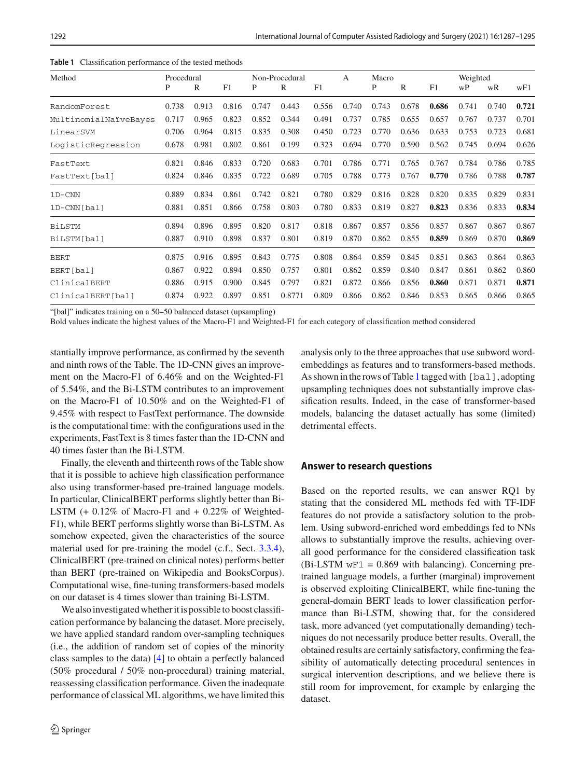<span id="page-5-0"></span>

| Method                | Procedural |       | Non-Procedural |       |        | A     | Macro |       |       | Weighted |       |       |       |
|-----------------------|------------|-------|----------------|-------|--------|-------|-------|-------|-------|----------|-------|-------|-------|
|                       | P          | R     | F1             | P     | R      | F1    |       | P     | R     | F1       | wP    | wR    | wF1   |
| RandomForest          | 0.738      | 0.913 | 0.816          | 0.747 | 0.443  | 0.556 | 0.740 | 0.743 | 0.678 | 0.686    | 0.741 | 0.740 | 0.721 |
| MultinomialNaïveBayes | 0.717      | 0.965 | 0.823          | 0.852 | 0.344  | 0.491 | 0.737 | 0.785 | 0.655 | 0.657    | 0.767 | 0.737 | 0.701 |
| LinearSVM             | 0.706      | 0.964 | 0.815          | 0.835 | 0.308  | 0.450 | 0.723 | 0.770 | 0.636 | 0.633    | 0.753 | 0.723 | 0.681 |
| LogisticRegression    | 0.678      | 0.981 | 0.802          | 0.861 | 0.199  | 0.323 | 0.694 | 0.770 | 0.590 | 0.562    | 0.745 | 0.694 | 0.626 |
| FastText              | 0.821      | 0.846 | 0.833          | 0.720 | 0.683  | 0.701 | 0.786 | 0.771 | 0.765 | 0.767    | 0.784 | 0.786 | 0.785 |
| FastText[bal]         | 0.824      | 0.846 | 0.835          | 0.722 | 0.689  | 0.705 | 0.788 | 0.773 | 0.767 | 0.770    | 0.786 | 0.788 | 0.787 |
| $1D-CNN$              | 0.889      | 0.834 | 0.861          | 0.742 | 0.821  | 0.780 | 0.829 | 0.816 | 0.828 | 0.820    | 0.835 | 0.829 | 0.831 |
| 1D-CNN [bal]          | 0.881      | 0.851 | 0.866          | 0.758 | 0.803  | 0.780 | 0.833 | 0.819 | 0.827 | 0.823    | 0.836 | 0.833 | 0.834 |
| <b>BiLSTM</b>         | 0.894      | 0.896 | 0.895          | 0.820 | 0.817  | 0.818 | 0.867 | 0.857 | 0.856 | 0.857    | 0.867 | 0.867 | 0.867 |
| BiLSTM[bal]           | 0.887      | 0.910 | 0.898          | 0.837 | 0.801  | 0.819 | 0.870 | 0.862 | 0.855 | 0.859    | 0.869 | 0.870 | 0.869 |
| <b>BERT</b>           | 0.875      | 0.916 | 0.895          | 0.843 | 0.775  | 0.808 | 0.864 | 0.859 | 0.845 | 0.851    | 0.863 | 0.864 | 0.863 |
| BERT[bal]             | 0.867      | 0.922 | 0.894          | 0.850 | 0.757  | 0.801 | 0.862 | 0.859 | 0.840 | 0.847    | 0.861 | 0.862 | 0.860 |
| ClinicalBERT          | 0.886      | 0.915 | 0.900          | 0.845 | 0.797  | 0.821 | 0.872 | 0.866 | 0.856 | 0.860    | 0.871 | 0.871 | 0.871 |
| ClinicalBERT[bal]     | 0.874      | 0.922 | 0.897          | 0.851 | 0.8771 | 0.809 | 0.866 | 0.862 | 0.846 | 0.853    | 0.865 | 0.866 | 0.865 |

**Table 1** Classification performance of the tested methods

"[bal]" indicates training on a 50–50 balanced dataset (upsampling)

Bold values indicate the highest values of the Macro-F1 and Weighted-F1 for each category of classification method considered

stantially improve performance, as confirmed by the seventh and ninth rows of the Table. The 1D-CNN gives an improvement on the Macro-F1 of 6*.*46% and on the Weighted-F1 of 5*.*54%, and the Bi-LSTM contributes to an improvement on the Macro-F1 of 10*.*50% and on the Weighted-F1 of 9*.*45% with respect to FastText performance. The downside is the computational time: with the configurations used in the experiments, FastText is 8 times faster than the 1D-CNN and 40 times faster than the Bi-LSTM.

Finally, the eleventh and thirteenth rows of the Table show that it is possible to achieve high classification performance also using transformer-based pre-trained language models. In particular, ClinicalBERT performs slightly better than Bi-LSTM (+ 0.12% of Macro-F1 and + 0.22% of Weighted-F1), while BERT performs slightly worse than Bi-LSTM. As somehow expected, given the characteristics of the source material used for pre-training the model (c.f., Sect. [3.3.4\)](#page-4-2), ClinicalBERT (pre-trained on clinical notes) performs better than BERT (pre-trained on Wikipedia and BooksCorpus). Computational wise, fine-tuning transformers-based models on our dataset is 4 times slower than training Bi-LSTM.

We also investigated whether it is possible to boost classification performance by balancing the dataset. More precisely, we have applied standard random over-sampling techniques (i.e., the addition of random set of copies of the minority class samples to the data) [\[4](#page-7-22)] to obtain a perfectly balanced (50% procedural / 50% non-procedural) training material, reassessing classification performance. Given the inadequate performance of classical ML algorithms, we have limited this

analysis only to the three approaches that use subword wordembeddings as features and to transformers-based methods. As shown in the rows of Table [1](#page-5-0) tagged with [bal], adopting upsampling techniques does not substantially improve classification results. Indeed, in the case of transformer-based models, balancing the dataset actually has some (limited) detrimental effects.

#### **Answer to research questions**

Based on the reported results, we can answer RQ1 by stating that the considered ML methods fed with TF-IDF features do not provide a satisfactory solution to the problem. Using subword-enriched word embeddings fed to NNs allows to substantially improve the results, achieving overall good performance for the considered classification task  $(Bi$ -LSTM  $wF1 = 0.869$  with balancing). Concerning pretrained language models, a further (marginal) improvement is observed exploiting ClinicalBERT, while fine-tuning the general-domain BERT leads to lower classification performance than Bi-LSTM, showing that, for the considered task, more advanced (yet computationally demanding) techniques do not necessarily produce better results. Overall, the obtained results are certainly satisfactory, confirming the feasibility of automatically detecting procedural sentences in surgical intervention descriptions, and we believe there is still room for improvement, for example by enlarging the dataset.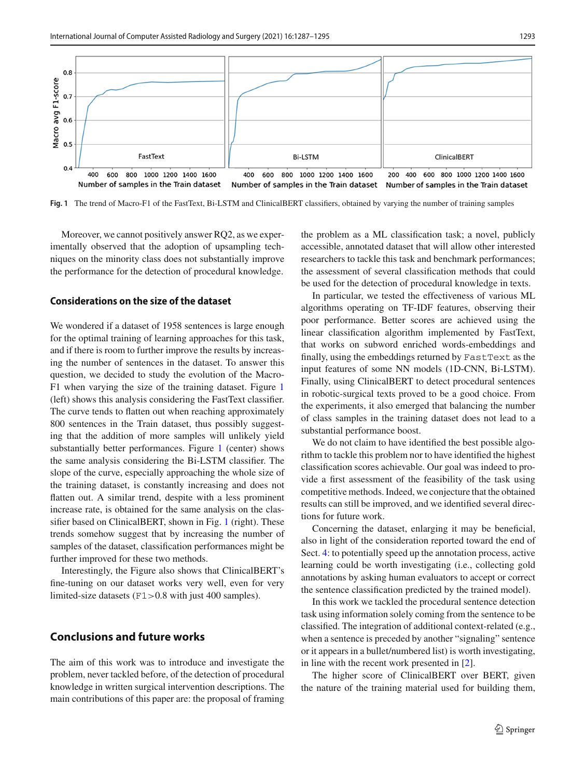

<span id="page-6-1"></span>**Fig. 1** The trend of Macro-F1 of the FastText, Bi-LSTM and ClinicalBERT classifiers, obtained by varying the number of training samples

Moreover, we cannot positively answer RQ2, as we experimentally observed that the adoption of upsampling techniques on the minority class does not substantially improve the performance for the detection of procedural knowledge.

#### **Considerations on the size of the dataset**

We wondered if a dataset of 1958 sentences is large enough for the optimal training of learning approaches for this task, and if there is room to further improve the results by increasing the number of sentences in the dataset. To answer this question, we decided to study the evolution of the Macro-F1 when varying the size of the training dataset. Figure [1](#page-6-1) (left) shows this analysis considering the FastText classifier. The curve tends to flatten out when reaching approximately 800 sentences in the Train dataset, thus possibly suggesting that the addition of more samples will unlikely yield substantially better performances. Figure [1](#page-6-1) (center) shows the same analysis considering the Bi-LSTM classifier. The slope of the curve, especially approaching the whole size of the training dataset, is constantly increasing and does not flatten out. A similar trend, despite with a less prominent increase rate, is obtained for the same analysis on the classifier based on ClinicalBERT, shown in Fig. [1](#page-6-1) (right). These trends somehow suggest that by increasing the number of samples of the dataset, classification performances might be further improved for these two methods.

<span id="page-6-0"></span>Interestingly, the Figure also shows that ClinicalBERT's fine-tuning on our dataset works very well, even for very limited-size datasets (F1*>*0.8 with just 400 samples).

## **Conclusions and future works**

The aim of this work was to introduce and investigate the problem, never tackled before, of the detection of procedural knowledge in written surgical intervention descriptions. The main contributions of this paper are: the proposal of framing the problem as a ML classification task; a novel, publicly accessible, annotated dataset that will allow other interested researchers to tackle this task and benchmark performances; the assessment of several classification methods that could be used for the detection of procedural knowledge in texts.

In particular, we tested the effectiveness of various ML algorithms operating on TF-IDF features, observing their poor performance. Better scores are achieved using the linear classification algorithm implemented by FastText, that works on subword enriched words-embeddings and finally, using the embeddings returned by FastText as the input features of some NN models (1D-CNN, Bi-LSTM). Finally, using ClinicalBERT to detect procedural sentences in robotic-surgical texts proved to be a good choice. From the experiments, it also emerged that balancing the number of class samples in the training dataset does not lead to a substantial performance boost.

We do not claim to have identified the best possible algorithm to tackle this problem nor to have identified the highest classification scores achievable. Our goal was indeed to provide a first assessment of the feasibility of the task using competitive methods. Indeed, we conjecture that the obtained results can still be improved, and we identified several directions for future work.

Concerning the dataset, enlarging it may be beneficial, also in light of the consideration reported toward the end of Sect. [4:](#page-4-0) to potentially speed up the annotation process, active learning could be worth investigating (i.e., collecting gold annotations by asking human evaluators to accept or correct the sentence classification predicted by the trained model).

In this work we tackled the procedural sentence detection task using information solely coming from the sentence to be classified. The integration of additional context-related (e.g., when a sentence is preceded by another "signaling" sentence or it appears in a bullet/numbered list) is worth investigating, in line with the recent work presented in [\[2\]](#page-7-1).

The higher score of ClinicalBERT over BERT, given the nature of the training material used for building them,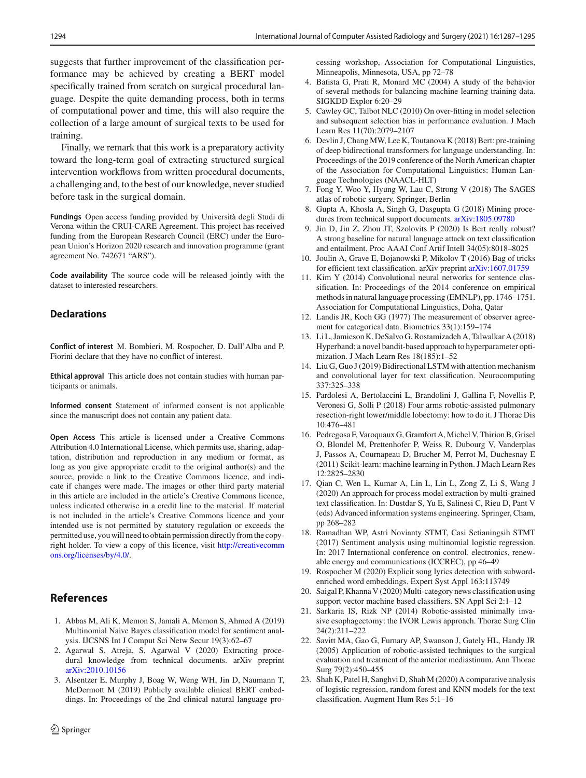suggests that further improvement of the classification performance may be achieved by creating a BERT model specifically trained from scratch on surgical procedural language. Despite the quite demanding process, both in terms of computational power and time, this will also require the collection of a large amount of surgical texts to be used for training.

Finally, we remark that this work is a preparatory activity toward the long-term goal of extracting structured surgical intervention workflows from written procedural documents, a challenging and, to the best of our knowledge, never studied before task in the surgical domain.

**Fundings** Open access funding provided by Università degli Studi di Verona within the CRUI-CARE Agreement. This project has received funding from the European Research Council (ERC) under the European Union's Horizon 2020 research and innovation programme (grant agreement No. 742671 "ARS").

**Code availability** The source code will be released jointly with the dataset to interested researchers.

## **Declarations**

**Conflict of interest** M. Bombieri, M. Rospocher, D. Dall'Alba and P. Fiorini declare that they have no conflict of interest.

**Ethical approval** This article does not contain studies with human participants or animals.

**Informed consent** Statement of informed consent is not applicable since the manuscript does not contain any patient data.

**Open Access** This article is licensed under a Creative Commons Attribution 4.0 International License, which permits use, sharing, adaptation, distribution and reproduction in any medium or format, as long as you give appropriate credit to the original author(s) and the source, provide a link to the Creative Commons licence, and indicate if changes were made. The images or other third party material in this article are included in the article's Creative Commons licence, unless indicated otherwise in a credit line to the material. If material is not included in the article's Creative Commons licence and your intended use is not permitted by statutory regulation or exceeds the permitted use, you will need to obtain permission directly from the copyright holder. To view a copy of this licence, visit [http://creativecomm](http://creativecommons.org/licenses/by/4.0/) [ons.org/licenses/by/4.0/.](http://creativecommons.org/licenses/by/4.0/)

## **References**

- <span id="page-7-12"></span>1. Abbas M, Ali K, Memon S, Jamali A, Memon S, Ahmed A (2019) Multinomial Naive Bayes classification model for sentiment analysis. IJCSNS Int J Comput Sci Netw Secur 19(3):62–67
- <span id="page-7-1"></span>2. Agarwal S, Atreja, S, Agarwal V (2020) Extracting procedural knowledge from technical documents. arXiv preprint [arXiv:2010.10156](http://arxiv.org/abs/2010.10156)
- <span id="page-7-20"></span>3. Alsentzer E, Murphy J, Boag W, Weng WH, Jin D, Naumann T, McDermott M (2019) Publicly available clinical BERT embeddings. In: Proceedings of the 2nd clinical natural language pro-

cessing workshop, Association for Computational Linguistics, Minneapolis, Minnesota, USA, pp 72–78

- <span id="page-7-22"></span>4. Batista G, Prati R, Monard MC (2004) A study of the behavior of several methods for balancing machine learning training data. SIGKDD Explor 6:20–29
- <span id="page-7-8"></span>5. Cawley GC, Talbot NLC (2010) On over-fitting in model selection and subsequent selection bias in performance evaluation. J Mach Learn Res 11(70):2079–2107
- <span id="page-7-19"></span>6. Devlin J, Chang MW, Lee K, Toutanova K (2018) Bert: pre-training of deep bidirectional transformers for language understanding. In: Proceedings of the 2019 conference of the North American chapter of the Association for Computational Linguistics: Human Language Technologies (NAACL-HLT)
- <span id="page-7-3"></span>7. Fong Y, Woo Y, Hyung W, Lau C, Strong V (2018) The SAGES atlas of robotic surgery. Springer, Berlin
- <span id="page-7-2"></span>8. Gupta A, Khosla A, Singh G, Dasgupta G (2018) Mining procedures from technical support documents. [arXiv:1805.09780](http://arxiv.org/abs/1805.09780)
- <span id="page-7-21"></span>9. Jin D, Jin Z, Zhou JT, Szolovits P (2020) Is Bert really robust? A strong baseline for natural language attack on text classification and entailment. Proc AAAI Conf Artif Intell 34(05):8018–8025
- <span id="page-7-15"></span>10. Joulin A, Grave E, Bojanowski P, Mikolov T (2016) Bag of tricks for efficient text classification. arXiv preprint [arXiv:1607.01759](http://arxiv.org/abs/1607.01759)
- <span id="page-7-17"></span>11. Kim Y (2014) Convolutional neural networks for sentence classification. In: Proceedings of the 2014 conference on empirical methods in natural language processing (EMNLP), pp. 1746–1751. Association for Computational Linguistics, Doha, Qatar
- <span id="page-7-7"></span>12. Landis JR, Koch GG (1977) The measurement of observer agreement for categorical data. Biometrics 33(1):159–174
- <span id="page-7-9"></span>13. Li L, Jamieson K, DeSalvo G, Rostamizadeh A, Talwalkar A (2018) Hyperband: a novel bandit-based approach to hyperparameter optimization. J Mach Learn Res 18(185):1–52
- <span id="page-7-18"></span>14. Liu G, Guo J (2019) Bidirectional LSTM with attention mechanism and convolutional layer for text classification. Neurocomputing 337:325–338
- <span id="page-7-4"></span>15. Pardolesi A, Bertolaccini L, Brandolini J, Gallina F, Novellis P, Veronesi G, Solli P (2018) Four arms robotic-assisted pulmonary resection-right lower/middle lobectomy: how to do it. J Thorac Dis 10:476–481
- <span id="page-7-14"></span>16. Pedregosa F, Varoquaux G, Gramfort A,Michel V, Thirion B, Grisel O, Blondel M, Prettenhofer P, Weiss R, Dubourg V, Vanderplas J, Passos A, Cournapeau D, Brucher M, Perrot M, Duchesnay E (2011) Scikit-learn: machine learning in Python. J Mach Learn Res 12:2825–2830
- <span id="page-7-0"></span>17. Qian C, Wen L, Kumar A, Lin L, Lin L, Zong Z, Li S, Wang J (2020) An approach for process model extraction by multi-grained text classification. In: Dustdar S, Yu E, Salinesi C, Rieu D, Pant V (eds) Advanced information systems engineering. Springer, Cham, pp 268–282
- <span id="page-7-13"></span>18. Ramadhan WP, Astri Novianty STMT, Casi Setianingsih STMT (2017) Sentiment analysis using multinomial logistic regression. In: 2017 International conference on control. electronics, renewable energy and communications (ICCREC), pp 46–49
- <span id="page-7-16"></span>19. Rospocher M (2020) Explicit song lyrics detection with subwordenriched word embeddings. Expert Syst Appl 163:113749
- <span id="page-7-11"></span>20. Saigal P, Khanna V (2020) Multi-category news classification using support vector machine based classifiers. SN Appl Sci 2:1–12
- <span id="page-7-5"></span>21. Sarkaria IS, Rizk NP (2014) Robotic-assisted minimally invasive esophagectomy: the IVOR Lewis approach. Thorac Surg Clin 24(2):211–222
- <span id="page-7-6"></span>22. Savitt MA, Gao G, Furnary AP, Swanson J, Gately HL, Handy JR (2005) Application of robotic-assisted techniques to the surgical evaluation and treatment of the anterior mediastinum. Ann Thorac Surg 79(2):450–455
- <span id="page-7-10"></span>23. Shah K, Patel H, Sanghvi D, Shah M (2020) A comparative analysis of logistic regression, random forest and KNN models for the text classification. Augment Hum Res 5:1–16